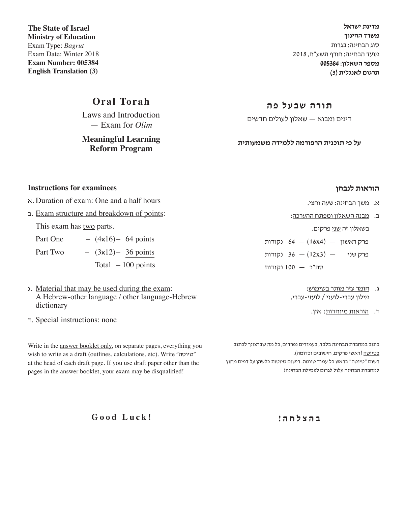**מדינת ישראל משרד החינוך** סוג הבחינה: בגרות מועד הבחינה: חורף תשע"ח, 2018 **מספר השאלון: 005384 תרגום לאנגלית )3(**

**The State of Israel Ministry of Education** Exam Type: *Bagrut* Exam Date: Winter 2018 **Exam Number: 005384 English Translation (3)**

## **Oral Torah**

Laws and Introduction — Exam for *Olim*

**Meaningful Learning Reform Program**

### **תורה שבעל פה**

דינים ומבוא — שאלון לעולים חדשים

**על פי תוכנית הרפורמה ללמידה משמעותית** 

#### **Instructions for examinees**

#### א. Duration of exam: One and a half hours

ב. Exam structure and breakdown of points:

This exam has two parts.

| Part One |  | $-$ (4x16) – 64 points |
|----------|--|------------------------|
| Part Two |  | $-$ (3x12) – 36 points |
|          |  | Total $-100$ points    |

- ג. Material that may be used during the exam: A Hebrew-other language / other language-Hebrew dictionary
- ד. Special instructions: none

Write in the answer booklet only, on separate pages, everything you wish to write as a draft (outlines, calculations, etc). Write "טיוטה" at the head of each draft page. If you use draft paper other than the pages in the answer booklet, your exam may be disqualified!

**הוראות לנבחן**

- א. משך הבחינה: שעה וחצי.
- ב. מבנה השאלון ומפתח ההערכה:

בשאלון זה <u>שני</u> פרקים.

פרק ראשון  $(16x4) - 64$  נקודות

- פרק שני  $(12x3)$  (נקודות
- סה"כ 100 נקודות
	- ג. חומר עזר מותר בשימוש: מילון עברי-לועזי / לועזי-עברי.
		- ד. הוראות מיוחדות: אין.

כתוב במחברת הבחינה בלבד, בעמודים נפרדים, כל מה שברצונך לכתוב כטיוטה )ראשי פרקים, חישובים וכדומה(. רשום "טיוטה" בראש כל עמוד טיוטה. רישום טיוטות כלשהן על דפים מחוץ למחברת הבחינה עלול לגרום לפסילת הבחינה!

**ב ה צ ל ח ה !**

**Good Luck!**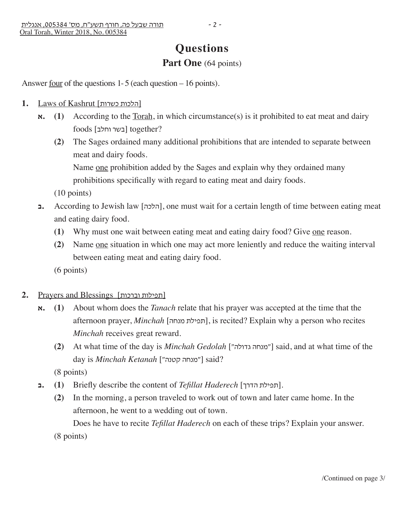# **Questions**

## Part One (64 points)

Answer <u>four</u> of the questions  $1-5$  (each question  $-16$  points).

- 1. Laws of Kashrut [הלכות כשרות]
	- $\boldsymbol{\kappa}$ **.** (1) According to the <u>Torah,</u> in which circumstance(s) is it prohibited to eat meat and dairy ?together] בשר וחלב] foods
		- **(2)** The Sages ordained many additional prohibitions that are intended to separate between meat and dairy foods.

Name one prohibition added by the Sages and explain why they ordained many prohibitions specifically with regard to eating meat and dairy foods.

(10 points)

- **ב.** According to Jewish law [הלכה], one must wait for a certain length of time between eating meat and eating dairy food.
	- **(1)** Why must one wait between eating meat and eating dairy food? Give one reason.
	- **(2)** Name one situation in which one may act more leniently and reduce the waiting interval between eating meat and eating dairy food.

(6 points)

- **2.** Prayers and Blessings [וברכות תפילות[
	- **א.) 1 (**About whom does the *Tanach* relate that his prayer was accepted at the time that the afternoon prayer, *Minchah* [תפילת מנחה], is recited? Explain why a person who recites *Minchah* receives great reward.
		- **(2)** At what time of the day is *Minchah Gedolah* ["גדולה מנחה ["said, and at what time of the day is *Minchah Ketanah* ["מנחה קטנה"] said?

(8 points)

- **ב.**)<br>1) **10 (תפילת הדרך Briefly describe the content of** *Tefillat Haderech* **[תפילת הדרך]</u>.** 
	- **(2)** In the morning, a person traveled to work out of town and later came home. In the afternoon, he went to a wedding out of town.

Does he have to recite *Tefillat Haderech* on each of these trips? Explain your answer.

(8 points)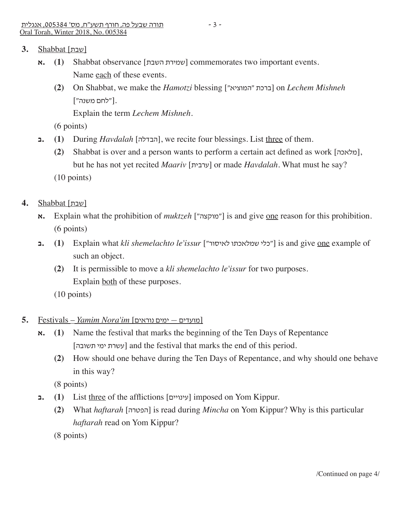- [שבת] Shabbat **3.**
	- **א.) 1 (**Shabbat observance [השבת שמירת [commemorates two important events. Name each of these events.
		- **(2)** On Shabbat, we make the *Hamotzi* blessing ["המוציא "ברכת [on *Lechem Mishneh*  .["לחם משנה"]

Explain the term *Lechem Mishneh*.

(6 points)

- **ב.) 1 (**During *Havdalah* [הבדלה[, we recite four blessings. List three of them.
	- **(2)** Shabbat is over and a person wants to perform a certain act defined as work [מלאכה[, but he has not yet recited *Maariv* [ערבית [or made *Havdalah*. What must he say?
	- (10 points)
- [שבת] Shabbat **4.**
	- **א.** Explain what the prohibition of *muktzeh* ["מוקצה ["is and give one reason for this prohibition. (6 points)
	- **ב.) 1 (**Explain what *kli shemelachto le'issur* ["לאיסור שמלאכתו כלי ["is and give one example of such an object*.*
		- **(2)** It is permissible to move a *kli shemelachto le'issur* for two purposes. Explain both of these purposes.
		- (10 points)
- **5.** Festivals *Yamim Nora'im* [נוראים ימים מועדים[
	- $\boldsymbol{\kappa}$ **.** (1) Name the festival that marks the beginning of the Ten Days of Repentance [תשובה ימי עשרת [and the festival that marks the end of this period.
		- **(2)** How should one behave during the Ten Days of Repentance, and why should one behave in this way?

(8 points)

- **1.** (1) List three of the afflictions [עינויים] imposed on Yom Kippur.
	- **(2)** What *haftarah* [הפטרה [is read during *Mincha* on Yom Kippur? Why is this particular *haftarah* read on Yom Kippur?

(8 points)